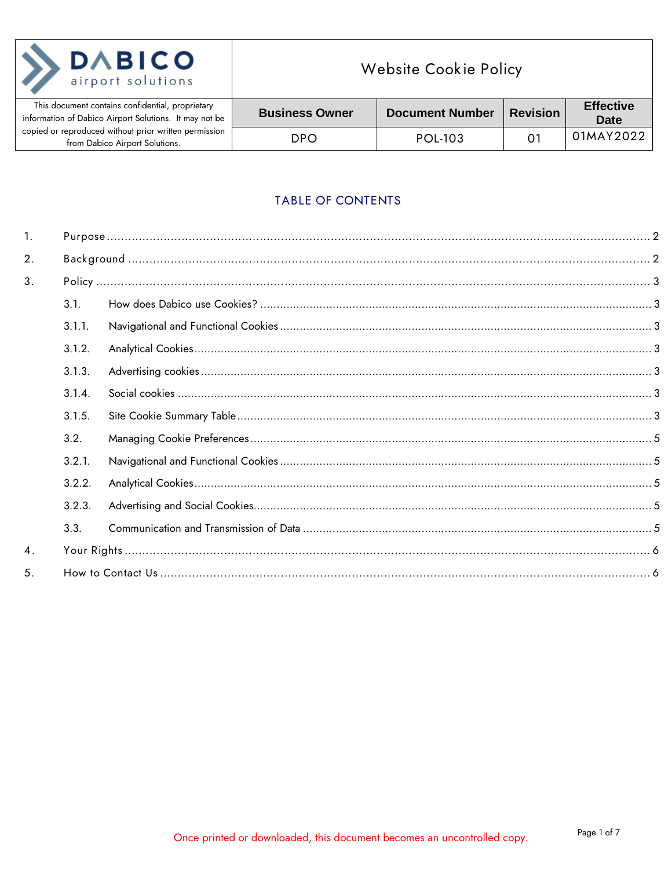| <b>DABICO</b><br>airport solutions                                                                         | <b>Website Cookie Policy</b> |                        |                 |
|------------------------------------------------------------------------------------------------------------|------------------------------|------------------------|-----------------|
| This document contains confidential, proprietary<br>information of Dabico Airport Solutions. It may not be | <b>Business Owner</b>        | <b>Document Number</b> | <b>Revision</b> |
| copied or reproduced without prior written permission<br>from Dabico Airport Solutions.                    | DPO.                         | <b>POL-103</b>         |                 |

# TABLE OF CONTENTS

**Effective** 

**Date** 01MAY2022

| 1. |        |  |
|----|--------|--|
| 2. |        |  |
| 3. |        |  |
|    | 3.1.   |  |
|    | 3.1.1. |  |
|    | 3.1.2. |  |
|    | 3.1.3. |  |
|    | 3.1.4. |  |
|    | 3.1.5. |  |
|    | 3.2.   |  |
|    | 3.2.1. |  |
|    | 3.2.2. |  |
|    | 3.2.3. |  |
|    | 3.3.   |  |
| 4. |        |  |
| 5. |        |  |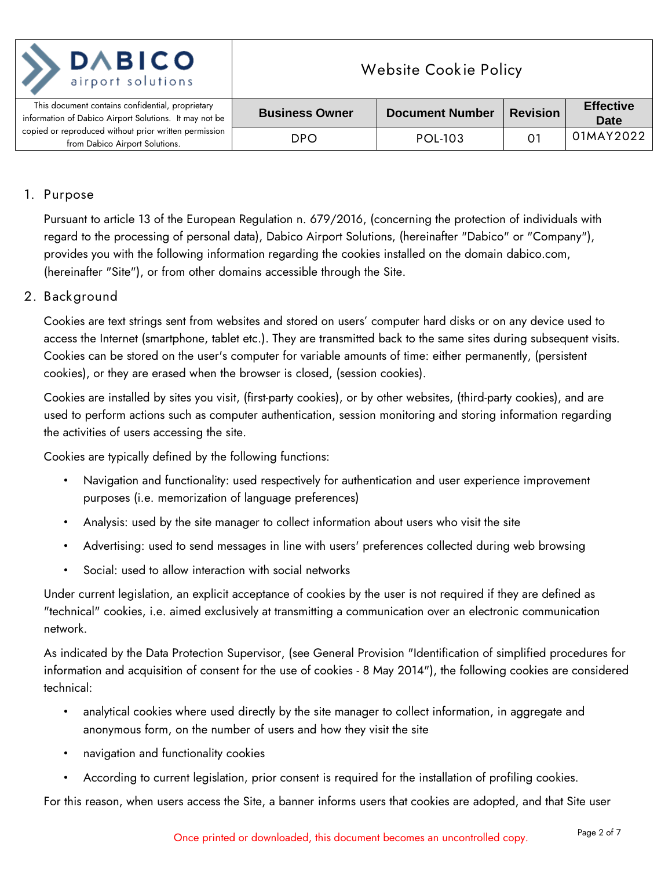| <b>DABICO</b><br>airport solutions                                                                         | <b>Website Cookie Policy</b> |                        |                 |                                 |
|------------------------------------------------------------------------------------------------------------|------------------------------|------------------------|-----------------|---------------------------------|
| This document contains confidential, proprietary<br>information of Dabico Airport Solutions. It may not be | <b>Business Owner</b>        | <b>Document Number</b> | <b>Revision</b> | <b>Effective</b><br><b>Date</b> |
| copied or reproduced without prior written permission<br>from Dabico Airport Solutions.                    | DPO                          | <b>POL-103</b>         | . O             | 01MAY2022                       |

### <span id="page-1-0"></span>**1. Purpose**

Pursuant to article 13 of the European Regulation n. 679/2016, (concerning the protection of individuals with regard to the processing of personal data), Dabico Airport Solutions, (hereinafter "Dabico" or "Company"), provides you with the following information regarding the cookies installed on the domain dabico.com, (hereinafter "Site"), or from other domains accessible through the Site.

### <span id="page-1-1"></span>**2. Background**

Cookies are text strings sent from websites and stored on users' computer hard disks or on any device used to access the Internet (smartphone, tablet etc.). They are transmitted back to the same sites during subsequent visits. Cookies can be stored on the user's computer for variable amounts of time: either permanently, (persistent cookies), or they are erased when the browser is closed, (session cookies).

Cookies are installed by sites you visit, (first-party cookies), or by other websites, (third-party cookies), and are used to perform actions such as computer authentication, session monitoring and storing information regarding the activities of users accessing the site.

Cookies are typically defined by the following functions:

- Navigation and functionality: used respectively for authentication and user experience improvement purposes (i.e. memorization of language preferences)
- Analysis: used by the site manager to collect information about users who visit the site
- Advertising: used to send messages in line with users' preferences collected during web browsing
- Social: used to allow interaction with social networks

Under current legislation, an explicit acceptance of cookies by the user is not required if they are defined as "technical" cookies, i.e. aimed exclusively at transmitting a communication over an electronic communication network.

As indicated by the Data Protection Supervisor, (see General Provision "Identification of simplified procedures for information and acquisition of consent for the use of cookies - 8 May 2014"), the following cookies are considered technical:

- analytical cookies where used directly by the site manager to collect information, in aggregate and anonymous form, on the number of users and how they visit the site
- navigation and functionality cookies
- According to current legislation, prior consent is required for the installation of profiling cookies.

For this reason, when users access the Site, a banner informs users that cookies are adopted, and that Site user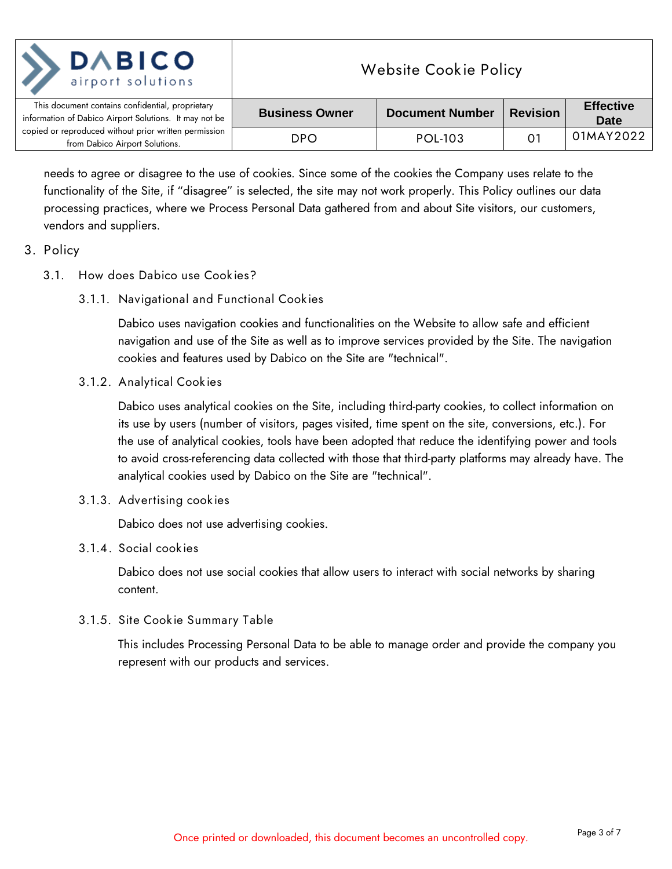| <b>DABICO</b><br>airport solutions                                                                         | <b>Website Cookie Policy</b> |                        |                 |                                 |
|------------------------------------------------------------------------------------------------------------|------------------------------|------------------------|-----------------|---------------------------------|
| This document contains confidential, proprietary<br>information of Dabico Airport Solutions. It may not be | <b>Business Owner</b>        | <b>Document Number</b> | <b>Revision</b> | <b>Effective</b><br><b>Date</b> |
| copied or reproduced without prior written permission<br>from Dabico Airport Solutions.                    | <b>DPO</b>                   | <b>POL-103</b>         | $O^7$           | 01MAY2022                       |

needs to agree or disagree to the use of cookies. Since some of the cookies the Company uses relate to the functionality of the Site, if "disagree" is selected, the site may not work properly. This Policy outlines our data processing practices, where we Process Personal Data gathered from and about Site visitors, our customers, vendors and suppliers.

- <span id="page-2-2"></span><span id="page-2-1"></span><span id="page-2-0"></span>**3. Policy**
	- **3.1. How does Dabico use Cookies?**
		- **3.1.1. Navigational and Functional Cookies**

Dabico uses navigation cookies and functionalities on the Website to allow safe and efficient navigation and use of the Site as well as to improve services provided by the Site. The navigation cookies and features used by Dabico on the Site are "technical".

<span id="page-2-3"></span>**3.1.2. Analytical Cookies**

Dabico uses analytical cookies on the Site, including third-party cookies, to collect information on its use by users (number of visitors, pages visited, time spent on the site, conversions, etc.). For the use of analytical cookies, tools have been adopted that reduce the identifying power and tools to avoid cross-referencing data collected with those that third-party platforms may already have. The analytical cookies used by Dabico on the Site are "technical".

<span id="page-2-4"></span>**3.1.3. Advertising cookies**

Dabico does not use advertising cookies.

<span id="page-2-5"></span>**3.1.4. Social cookies** 

Dabico does not use social cookies that allow users to interact with social networks by sharing content.

<span id="page-2-6"></span>**3.1.5. Site Cookie Summary Table**

This includes Processing Personal Data to be able to manage order and provide the company you represent with our products and services.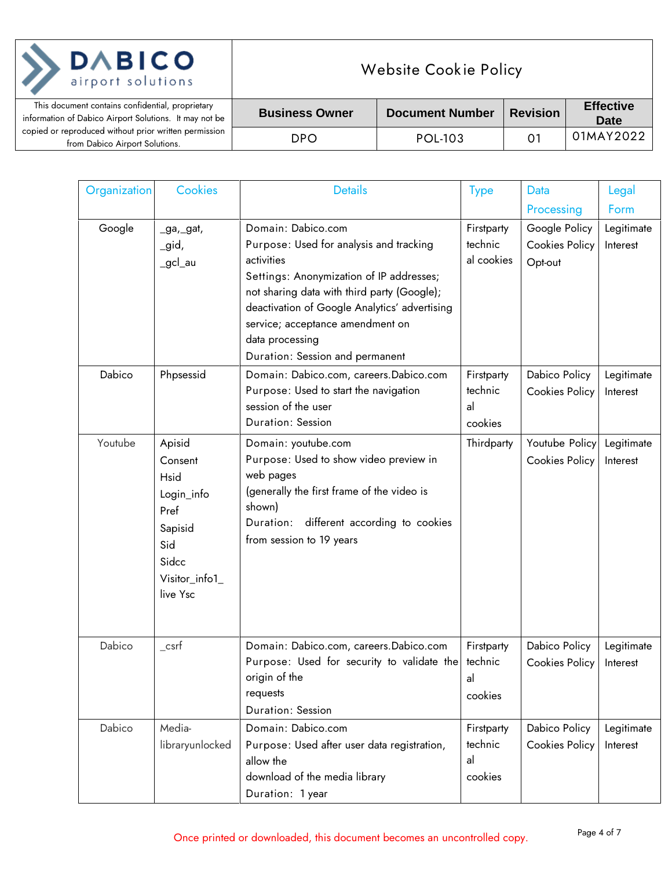| <b>DABICO</b><br>airport solutions                                                                         | <b>Website Cookie Policy</b> |                        |                 |                                 |
|------------------------------------------------------------------------------------------------------------|------------------------------|------------------------|-----------------|---------------------------------|
| This document contains confidential, proprietary<br>information of Dabico Airport Solutions. It may not be | <b>Business Owner</b>        | <b>Document Number</b> | <b>Revision</b> | <b>Effective</b><br><b>Date</b> |
| copied or reproduced without prior written permission<br>from Dabico Airport Solutions.                    | <b>DPO</b>                   | POL-103                | 01              | 01MAY2022                       |
|                                                                                                            |                              |                        |                 |                                 |

♦

 $\overline{a}$ 

| Organization | <b>Cookies</b>                                                                                           | <b>Details</b>                                                                                                                                                                                                                                                                                                    | <b>Type</b>                            | Data                                       | Legal                  |
|--------------|----------------------------------------------------------------------------------------------------------|-------------------------------------------------------------------------------------------------------------------------------------------------------------------------------------------------------------------------------------------------------------------------------------------------------------------|----------------------------------------|--------------------------------------------|------------------------|
|              |                                                                                                          |                                                                                                                                                                                                                                                                                                                   |                                        | Processing                                 | Form                   |
| Google       | _ga,_gat,<br>_gid,<br>_gcl_au                                                                            | Domain: Dabico.com<br>Purpose: Used for analysis and tracking<br>activities<br>Settings: Anonymization of IP addresses;<br>not sharing data with third party (Google);<br>deactivation of Google Analytics' advertising<br>service; acceptance amendment on<br>data processing<br>Duration: Session and permanent | Firstparty<br>technic<br>al cookies    | Google Policy<br>Cookies Policy<br>Opt-out | Legitimate<br>Interest |
| Dabico       | Phpsessid                                                                                                | Domain: Dabico.com, careers.Dabico.com<br>Purpose: Used to start the navigation<br>session of the user<br>Duration: Session                                                                                                                                                                                       | Firstparty<br>technic<br>al<br>cookies | Dabico Policy<br><b>Cookies Policy</b>     | Legitimate<br>Interest |
| Youtube      | Apisid<br>Consent<br>Hsid<br>Login_info<br>Pref<br>Sapisid<br>Sid<br>Sidcc<br>Visitor_info1_<br>live Ysc | Domain: youtube.com<br>Purpose: Used to show video preview in<br>web pages<br>(generally the first frame of the video is<br>shown)<br>Duration: different according to cookies<br>from session to 19 years                                                                                                        | Thirdparty                             | Youtube Policy<br><b>Cookies Policy</b>    | Legitimate<br>Interest |
| Dabico       | $\_c$ srf                                                                                                | Domain: Dabico.com, careers.Dabico.com<br>Purpose: Used for security to validate the<br>origin of the<br>requests<br>Duration: Session                                                                                                                                                                            | Firstparty<br>technic<br>al<br>cookies | Dabico Policy<br><b>Cookies Policy</b>     | Legitimate<br>Interest |
| Dabico       | Media-<br>libraryunlocked                                                                                | Domain: Dabico.com<br>Purpose: Used after user data registration,<br>allow the<br>download of the media library<br>Duration: 1 year                                                                                                                                                                               | Firstparty<br>technic<br>al<br>cookies | Dabico Policy<br>Cookies Policy            | Legitimate<br>Interest |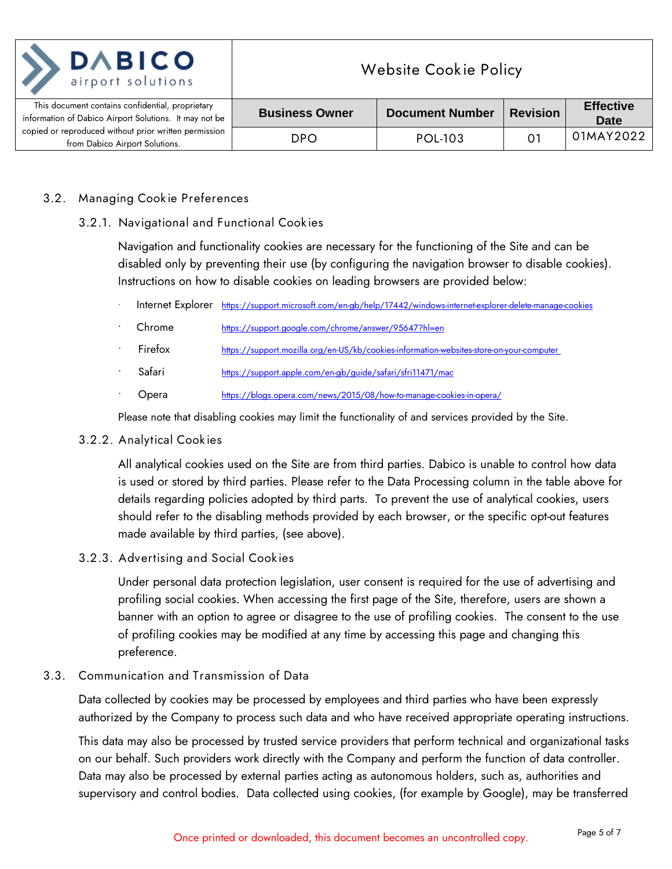| <b>DABICO</b><br>airport solutions                                                                         | <b>Website Cookie Policy</b> |                        |                 |                                 |
|------------------------------------------------------------------------------------------------------------|------------------------------|------------------------|-----------------|---------------------------------|
| This document contains confidential, proprietary<br>information of Dabico Airport Solutions. It may not be | <b>Business Owner</b>        | <b>Document Number</b> | <b>Revision</b> | <b>Effective</b><br><b>Date</b> |
| copied or reproduced without prior written permission<br>from Dabico Airport Solutions.                    | <b>DPO</b>                   | POL-103                | 0.              | 01MAY2022                       |

### <span id="page-4-1"></span><span id="page-4-0"></span>**3.2. Managing Cookie Preferences**

**3.2.1. Navigational and Functional Cookies**

Navigation and functionality cookies are necessary for the functioning of the Site and can be disabled only by preventing their use (by configuring the navigation browser to disable cookies). Instructions on how to disable cookies on leading browsers are provided below:

- Internet Explorer <https://support.microsoft.com/en-gb/help/17442/windows-internet-explorer-delete-manage-cookies>
- Chrome <https://support.google.com/chrome/answer/95647?hl=en>
- Firefox <https://support.mozilla.org/en-US/kb/cookies-information-websites-store-on-your-computer>
- Safari <https://support.apple.com/en-gb/guide/safari/sfri11471/mac>
- Opera <https://blogs.opera.com/news/2015/08/how-to-manage-cookies-in-opera/>

Please note that disabling cookies may limit the functionality of and services provided by the Site.

#### <span id="page-4-2"></span>**3.2.2. Analytical Cookies**

All analytical cookies used on the Site are from third parties. Dabico is unable to control how data is used or stored by third parties. Please refer to the Data Processing column in the table above for details regarding policies adopted by third parts. To prevent the use of analytical cookies, users should refer to the disabling methods provided by each browser, or the specific opt-out features made available by third parties, (see above).

## <span id="page-4-3"></span>**3.2.3. Advertising and Social Cookies**

Under personal data protection legislation, user consent is required for the use of advertising and profiling social cookies. When accessing the first page of the Site, therefore, users are shown a banner with an option to agree or disagree to the use of profiling cookies. The consent to the use of profiling cookies may be modified at any time by accessing this page and changing this preference.

## <span id="page-4-4"></span>**3.3. Communication and Transmission of Data**

Data collected by cookies may be processed by employees and third parties who have been expressly authorized by the Company to process such data and who have received appropriate operating instructions.

This data may also be processed by trusted service providers that perform technical and organizational tasks on our behalf. Such providers work directly with the Company and perform the function of data controller. Data may also be processed by external parties acting as autonomous holders, such as, authorities and supervisory and control bodies. Data collected using cookies, (for example by Google), may be transferred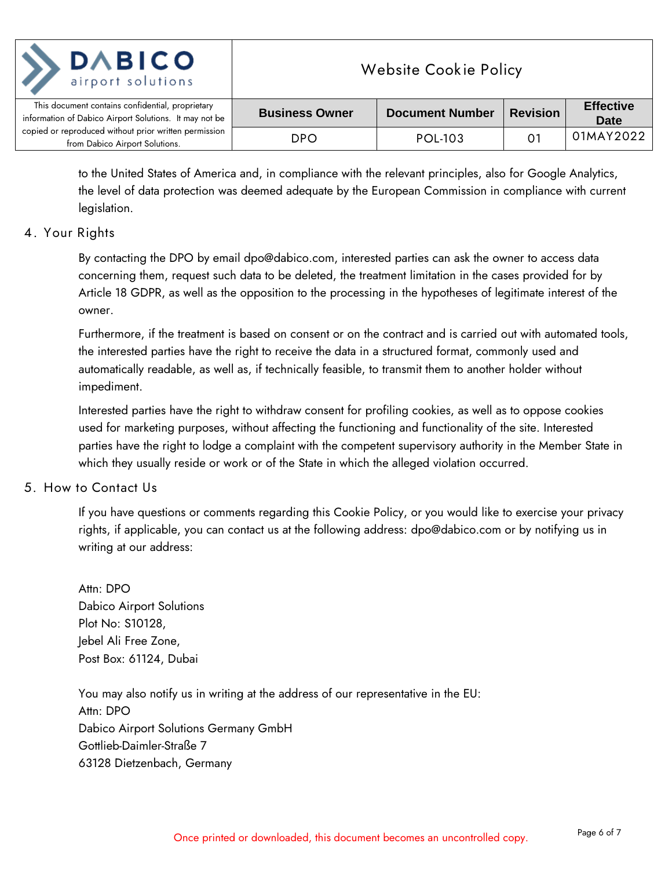| <b>DABICO</b><br>airport solutions                                                                         | <b>Website Cookie Policy</b> |                        |                 |                                 |
|------------------------------------------------------------------------------------------------------------|------------------------------|------------------------|-----------------|---------------------------------|
| This document contains confidential, proprietary<br>information of Dabico Airport Solutions. It may not be | <b>Business Owner</b>        | <b>Document Number</b> | <b>Revision</b> | <b>Effective</b><br><b>Date</b> |
| copied or reproduced without prior written permission<br>from Dabico Airport Solutions.                    | DPO                          | POL-103                | $\mathbf{O}$    | 01MAY2022                       |

to the United States of America and, in compliance with the relevant principles, also for Google Analytics, the level of data protection was deemed adequate by the European Commission in compliance with current legislation.

## <span id="page-5-0"></span>**4. Your Rights**

By contacting the DPO by email dpo@dabico.com, interested parties can ask the owner to access data concerning them, request such data to be deleted, the treatment limitation in the cases provided for by Article 18 GDPR, as well as the opposition to the processing in the hypotheses of legitimate interest of the owner.

Furthermore, if the treatment is based on consent or on the contract and is carried out with automated tools, the interested parties have the right to receive the data in a structured format, commonly used and automatically readable, as well as, if technically feasible, to transmit them to another holder without impediment.

Interested parties have the right to withdraw consent for profiling cookies, as well as to oppose cookies used for marketing purposes, without affecting the functioning and functionality of the site. Interested parties have the right to lodge a complaint with the competent supervisory authority in the Member State in which they usually reside or work or of the State in which the alleged violation occurred.

# <span id="page-5-1"></span>**5. How to Contact Us**

If you have questions or comments regarding this Cookie Policy, or you would like to exercise your privacy rights, if applicable, you can contact us at the following address: dpo@dabico.com or by notifying us in writing at our address:

Attn: DPO Dabico Airport Solutions Plot No: S10128, Jebel Ali Free Zone, Post Box: 61124, Dubai

You may also notify us in writing at the address of our representative in the EU: Attn: DPO Dabico Airport Solutions Germany GmbH Gottlieb-Daimler-Straße 7 63128 Dietzenbach, Germany